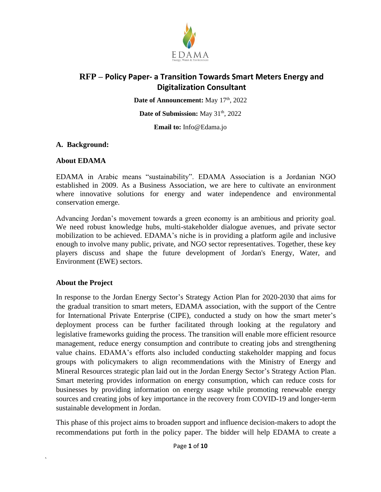

Date of Announcement: May 17<sup>th</sup>, 2022

Date of Submission: May 31<sup>th</sup>, 2022

**Email to:** Info@Edama.jo

#### **A. Background:**

#### **About EDAMA**

EDAMA in Arabic means "sustainability". EDAMA Association is a Jordanian NGO established in 2009. As a Business Association, we are here to cultivate an environment where innovative solutions for energy and water independence and environmental conservation emerge.

Advancing Jordan's movement towards a green economy is an ambitious and priority goal. We need robust knowledge hubs, multi-stakeholder dialogue avenues, and private sector mobilization to be achieved. EDAMA's niche is in providing a platform agile and inclusive enough to involve many public, private, and NGO sector representatives. Together, these key players discuss and shape the future development of Jordan's Energy, Water, and Environment (EWE) sectors.

### **About the Project**

`

In response to the Jordan Energy Sector's Strategy Action Plan for 2020-2030 that aims for the gradual transition to smart meters, EDAMA association, with the support of the Centre for International Private Enterprise (CIPE), conducted a study on how the smart meter's deployment process can be further facilitated through looking at the regulatory and legislative frameworks guiding the process. The transition will enable more efficient resource management, reduce energy consumption and contribute to creating jobs and strengthening value chains. EDAMA's efforts also included conducting stakeholder mapping and focus groups with policymakers to align recommendations with the Ministry of Energy and Mineral Resources strategic plan laid out in the Jordan Energy Sector's Strategy Action Plan. Smart metering provides information on energy consumption, which can reduce costs for businesses by providing information on energy usage while promoting renewable energy sources and creating jobs of key importance in the recovery from COVID-19 and longer-term sustainable development in Jordan.

This phase of this project aims to broaden support and influence decision-makers to adopt the recommendations put forth in the policy paper. The bidder will help EDAMA to create a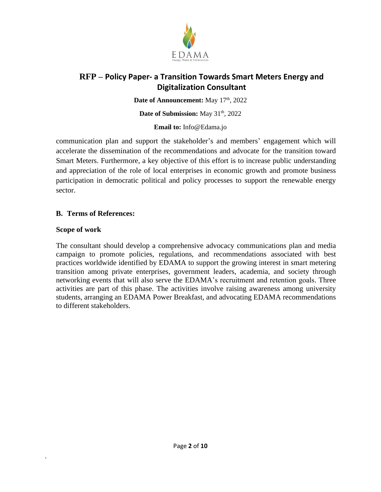

Date of Announcement: May 17<sup>th</sup>, 2022

#### Date of Submission: May 31<sup>th</sup>, 2022

#### **Email to:** Info@Edama.jo

communication plan and support the stakeholder's and members' engagement which will accelerate the dissemination of the recommendations and advocate for the transition toward Smart Meters. Furthermore, a key objective of this effort is to increase public understanding and appreciation of the role of local enterprises in economic growth and promote business participation in democratic political and policy processes to support the renewable energy sector.

### **B. Terms of References:**

### **Scope of work**

`

The consultant should develop a comprehensive advocacy communications plan and media campaign to promote policies, regulations, and recommendations associated with best practices worldwide identified by EDAMA to support the growing interest in smart metering transition among private enterprises, government leaders, academia, and society through networking events that will also serve the EDAMA's recruitment and retention goals. Three activities are part of this phase. The activities involve raising awareness among university students, arranging an EDAMA Power Breakfast, and advocating EDAMA recommendations to different stakeholders.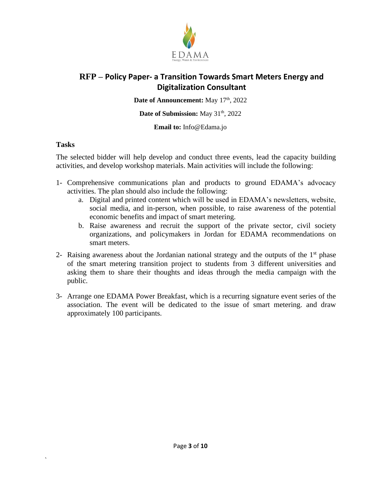

Date of Announcement: May 17<sup>th</sup>, 2022

#### Date of Submission: May 31<sup>th</sup>, 2022

**Email to:** Info@Edama.jo

### **Tasks**

`

The selected bidder will help develop and conduct three events, lead the capacity building activities, and develop workshop materials. Main activities will include the following:

- 1- Comprehensive communications plan and products to ground EDAMA's advocacy activities. The plan should also include the following:
	- a. Digital and printed content which will be used in EDAMA's newsletters, website, social media, and in-person, when possible, to raise awareness of the potential economic benefits and impact of smart metering.
	- b. Raise awareness and recruit the support of the private sector, civil society organizations, and policymakers in Jordan for EDAMA recommendations on smart meters.
- 2- Raising awareness about the Jordanian national strategy and the outputs of the  $1<sup>st</sup>$  phase of the smart metering transition project to students from 3 different universities and asking them to share their thoughts and ideas through the media campaign with the public.
- 3- Arrange one EDAMA Power Breakfast, which is a recurring signature event series of the association. The event will be dedicated to the issue of smart metering. and draw approximately 100 participants.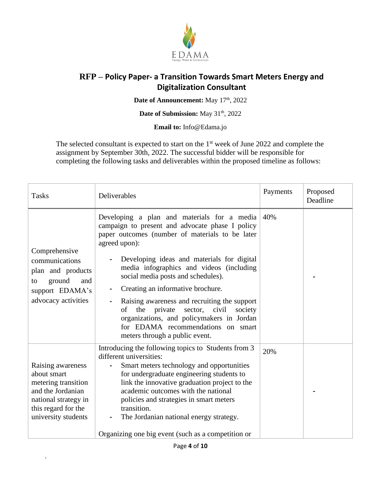

Date of Announcement: May 17<sup>th</sup>, 2022

#### Date of Submission: May 31<sup>th</sup>, 2022

**Email to:** Info@Edama.jo

The selected consultant is expected to start on the  $1<sup>st</sup>$  week of June 2022 and complete the assignment by September 30th, 2022. The successful bidder will be responsible for completing the following tasks and deliverables within the proposed timeline as follows:

| <b>Tasks</b>                                                                                                                                       | Deliverables                                                                                                                                                                                                                                                                                                                                                                                                                                                                                                                                                  | Payments | Proposed<br>Deadline |
|----------------------------------------------------------------------------------------------------------------------------------------------------|---------------------------------------------------------------------------------------------------------------------------------------------------------------------------------------------------------------------------------------------------------------------------------------------------------------------------------------------------------------------------------------------------------------------------------------------------------------------------------------------------------------------------------------------------------------|----------|----------------------|
| Comprehensive<br>communications<br>plan and products<br>ground<br>and<br>to<br>support EDAMA's<br>advocacy activities                              | Developing a plan and materials for a media<br>campaign to present and advocate phase I policy<br>paper outcomes (number of materials to be later<br>agreed upon):<br>Developing ideas and materials for digital<br>media infographics and videos (including<br>social media posts and schedules).<br>Creating an informative brochure.<br>Raising awareness and recruiting the support<br>sector, civil<br>of<br>the private<br>society<br>organizations, and policymakers in Jordan<br>for EDAMA recommendations on smart<br>meters through a public event. | 40%      |                      |
| Raising awareness<br>about smart<br>metering transition<br>and the Jordanian<br>national strategy in<br>this regard for the<br>university students | Introducing the following topics to Students from 3<br>different universities:<br>Smart meters technology and opportunities<br>for undergraduate engineering students to<br>link the innovative graduation project to the<br>academic outcomes with the national<br>policies and strategies in smart meters<br>transition.<br>The Jordanian national energy strategy.<br>Organizing one big event (such as a competition or                                                                                                                                   | 20%      |                      |

`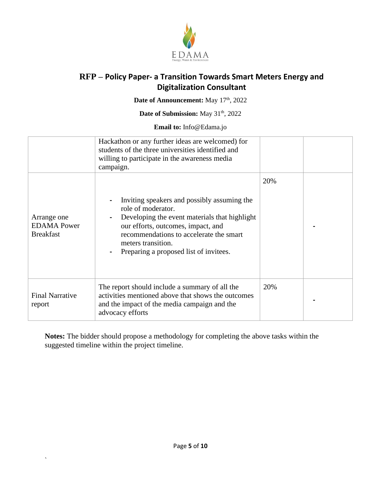

Date of Announcement: May 17<sup>th</sup>, 2022

### Date of Submission: May 31<sup>th</sup>, 2022

**Email to:** Info@Edama.jo

|                                                       | Hackathon or any further ideas are welcomed) for<br>students of the three universities identified and<br>willing to participate in the awareness media<br>campaign.                                                                                                 |     |  |
|-------------------------------------------------------|---------------------------------------------------------------------------------------------------------------------------------------------------------------------------------------------------------------------------------------------------------------------|-----|--|
| Arrange one<br><b>EDAMA</b> Power<br><b>Breakfast</b> | Inviting speakers and possibly assuming the<br>role of moderator.<br>Developing the event materials that highlight<br>our efforts, outcomes, impact, and<br>recommendations to accelerate the smart<br>meters transition.<br>Preparing a proposed list of invitees. | 20% |  |
| <b>Final Narrative</b><br>report                      | The report should include a summary of all the<br>activities mentioned above that shows the outcomes<br>and the impact of the media campaign and the<br>advocacy efforts                                                                                            | 20% |  |

**Notes:** The bidder should propose a methodology for completing the above tasks within the suggested timeline within the project timeline.

 $\ddot{\phantom{0}}$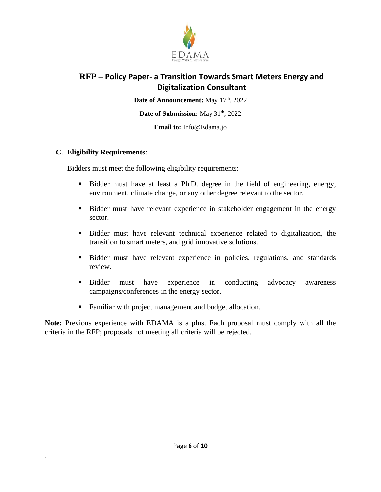

Date of Announcement: May 17<sup>th</sup>, 2022

**Date of Submission:** May 31<sup>th</sup>, 2022

**Email to:** Info@Edama.jo

### **C. Eligibility Requirements:**

`

Bidders must meet the following eligibility requirements:

- Bidder must have at least a Ph.D. degree in the field of engineering, energy, environment, climate change, or any other degree relevant to the sector.
- Bidder must have relevant experience in stakeholder engagement in the energy sector.
- Bidder must have relevant technical experience related to digitalization, the transition to smart meters, and grid innovative solutions.
- **Exercise 1** Bidder must have relevant experience in policies, regulations, and standards review.
- **Example 1** Bidder must have experience in conducting advocacy awareness campaigns/conferences in the energy sector.
- Familiar with project management and budget allocation.

**Note:** Previous experience with EDAMA is a plus. Each proposal must comply with all the criteria in the RFP; proposals not meeting all criteria will be rejected.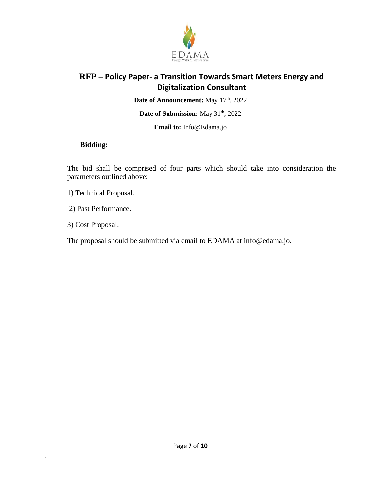

Date of Announcement: May 17<sup>th</sup>, 2022

Date of Submission: May 31<sup>th</sup>, 2022

**Email to:** Info@Edama.jo

### **Bidding:**

The bid shall be comprised of four parts which should take into consideration the parameters outlined above:

- 1) Technical Proposal.
- 2) Past Performance.
- 3) Cost Proposal.

 $\ddot{\phantom{0}}$ 

The proposal should be submitted via email to EDAMA at info@edama.jo.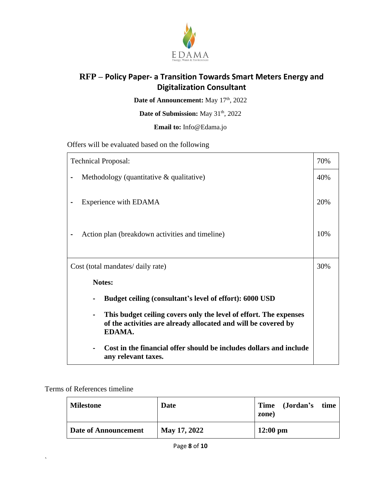

Date of Announcement: May 17<sup>th</sup>, 2022

### Date of Submission: May 31<sup>th</sup>, 2022

**Email to:** Info@Edama.jo

Offers will be evaluated based on the following

| <b>Technical Proposal:</b>                                                                                                                                      |  |  |
|-----------------------------------------------------------------------------------------------------------------------------------------------------------------|--|--|
| Methodology (quantitative $\&$ qualitative)                                                                                                                     |  |  |
| Experience with EDAMA                                                                                                                                           |  |  |
| 10%<br>Action plan (breakdown activities and timeline)                                                                                                          |  |  |
| Cost (total mandates/ daily rate)                                                                                                                               |  |  |
| <b>Notes:</b>                                                                                                                                                   |  |  |
| Budget ceiling (consultant's level of effort): 6000 USD                                                                                                         |  |  |
| This budget ceiling covers only the level of effort. The expenses<br>$\blacksquare$<br>of the activities are already allocated and will be covered by<br>EDAMA. |  |  |
| Cost in the financial offer should be includes dollars and include<br>any relevant taxes.                                                                       |  |  |

Terms of References timeline

 $\ddot{\phantom{0}}$ 

| <b>Milestone</b>     | Date         | Time (Jordan's time<br>zone) |
|----------------------|--------------|------------------------------|
| Date of Announcement | May 17, 2022 | $12:00 \text{ pm}$           |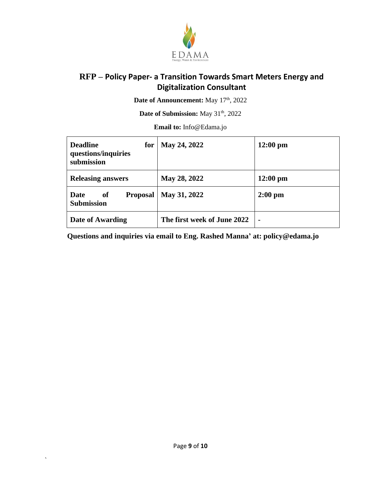

Date of Announcement: May 17<sup>th</sup>, 2022

Date of Submission: May 31<sup>th</sup>, 2022

**Email to:** Info@Edama.jo

| <b>Deadline</b><br>for<br>questions/inquiries<br>submission | May 24, 2022                | $12:00 \text{ pm}$ |
|-------------------------------------------------------------|-----------------------------|--------------------|
| <b>Releasing answers</b>                                    | May 28, 2022                | $12:00 \text{ pm}$ |
| Date<br>of<br><b>Proposal</b><br><b>Submission</b>          | May 31, 2022                | $2:00$ pm          |
| Date of Awarding                                            | The first week of June 2022 | $\blacksquare$     |

**Questions and inquiries via email to Eng. Rashed Manna' at: policy@edama.jo**

 $\hat{\mathbf{v}}$